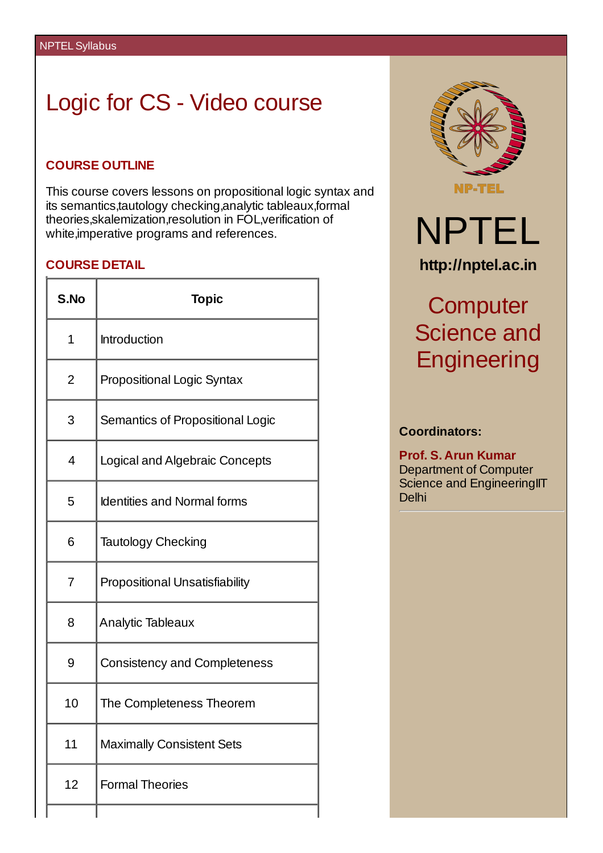# Logic for CS - Video course

## **COURSE OUTLINE**

This course covers lessons on propositional logic syntax and its semantics,tautology checking,analytic tableaux,formal theories,skalemization,resolution in FOL,verification of white,imperative programs and references.

## **COURSE DETAIL**

| S.No           | <b>Topic</b>                          |  |  |  |
|----------------|---------------------------------------|--|--|--|
| $\mathbf 1$    | <b>Introduction</b>                   |  |  |  |
| 2              | <b>Propositional Logic Syntax</b>     |  |  |  |
| 3              | Semantics of Propositional Logic      |  |  |  |
| 4              | Logical and Algebraic Concepts        |  |  |  |
| 5              | <b>Identities and Normal forms</b>    |  |  |  |
| 6              | <b>Tautology Checking</b>             |  |  |  |
| $\overline{7}$ | <b>Propositional Unsatisfiability</b> |  |  |  |
| 8              | <b>Analytic Tableaux</b>              |  |  |  |
| 9              | <b>Consistency and Completeness</b>   |  |  |  |
| 10             | The Completeness Theorem              |  |  |  |
| 11             | <b>Maximally Consistent Sets</b>      |  |  |  |
| 12             | <b>Formal Theories</b>                |  |  |  |
|                |                                       |  |  |  |



# **Computer** Science and **Engineering**

### **Coordinators:**

**Prof. S. Arun Kumar** Department of Computer Science and EngineeringIIT Delhi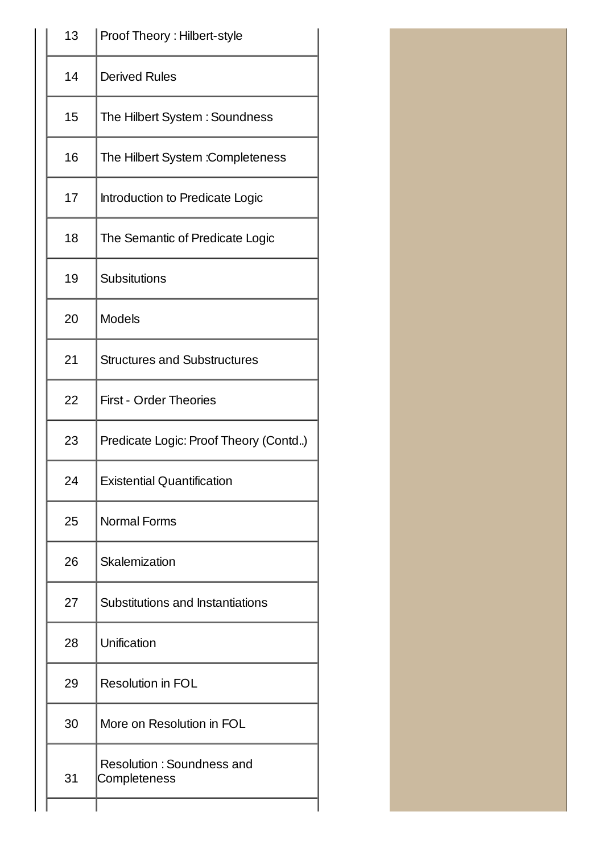| 13 | Proof Theory: Hilbert-style                      |  |  |
|----|--------------------------------------------------|--|--|
| 14 | <b>Derived Rules</b>                             |  |  |
| 15 | The Hilbert System: Soundness                    |  |  |
| 16 | The Hilbert System : Completeness                |  |  |
| 17 | Introduction to Predicate Logic                  |  |  |
| 18 | The Semantic of Predicate Logic                  |  |  |
| 19 | Subsitutions                                     |  |  |
| 20 | <b>Models</b>                                    |  |  |
| 21 | <b>Structures and Substructures</b>              |  |  |
| 22 | <b>First - Order Theories</b>                    |  |  |
| 23 | Predicate Logic: Proof Theory (Contd)            |  |  |
| 24 | <b>Existential Quantification</b>                |  |  |
| 25 | <b>Normal Forms</b>                              |  |  |
| 26 | Skalemization                                    |  |  |
| 27 | Substitutions and Instantiations                 |  |  |
| 28 | Unification                                      |  |  |
| 29 | <b>Resolution in FOL</b>                         |  |  |
| 30 | More on Resolution in FOL                        |  |  |
| 31 | <b>Resolution: Soundness and</b><br>Completeness |  |  |
|    |                                                  |  |  |